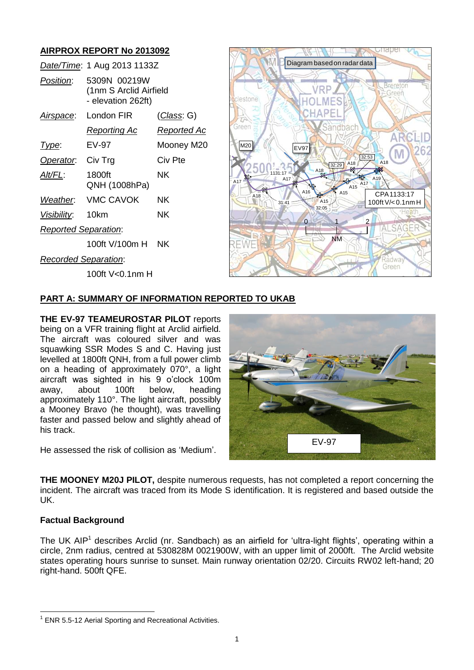# **AIRPROX REPORT No 2013092**

|                             | Date/Time: 1 Aug 2013 1133Z                                  |                    |
|-----------------------------|--------------------------------------------------------------|--------------------|
| Position:                   | 5309N 00219W<br>(1nm S Arclid Airfield<br>- elevation 262ft) |                    |
| <u>Airspace:</u>            | London FIR                                                   | <u>(Class</u> : G) |
|                             | Reporting Ac                                                 | Reported Ac        |
| Type:                       | EV-97                                                        | Mooney M20         |
| Operator.                   | Civ Trg                                                      | Civ Pte            |
| Alt/FL:                     | 1800ft<br>QNH (1008hPa)                                      | ΝK                 |
|                             | Weather: VMC CAVOK                                           | ΝK                 |
| Visibility: 10km            |                                                              | NΚ                 |
| <b>Reported Separation:</b> |                                                              |                    |
|                             | 100ft V/100m H                                               | NΚ                 |
| <b>Recorded Separation:</b> |                                                              |                    |
|                             | 100ft V<0.1nm H                                              |                    |



# **PART A: SUMMARY OF INFORMATION REPORTED TO UKAB**

**THE EV-97 TEAMEUROSTAR PILOT** reports being on a VFR training flight at Arclid airfield. The aircraft was coloured silver and was squawking SSR Modes S and C. Having just levelled at 1800ft QNH, from a full power climb on a heading of approximately 070°, a light aircraft was sighted in his 9 o'clock 100m away, about 100ft below, heading approximately 110°. The light aircraft, possibly a Mooney Bravo (he thought), was travelling faster and passed below and slightly ahead of his track.

He assessed the risk of collision as 'Medium'.



**THE MOONEY M20J PILOT,** despite numerous requests, has not completed a report concerning the incident. The aircraft was traced from its Mode S identification. It is registered and based outside the UK.

### **Factual Background**

 $\overline{a}$ 

The UK AIP<sup>1</sup> describes Arclid (nr. Sandbach) as an airfield for 'ultra-light flights', operating within a circle, 2nm radius, centred at 530828M 0021900W, with an upper limit of 2000ft. The Arclid website states operating hours sunrise to sunset. Main runway orientation 02/20. Circuits RW02 left-hand; 20 right-hand. 500ft QFE.

 $1$  ENR 5.5-12 Aerial Sporting and Recreational Activities.